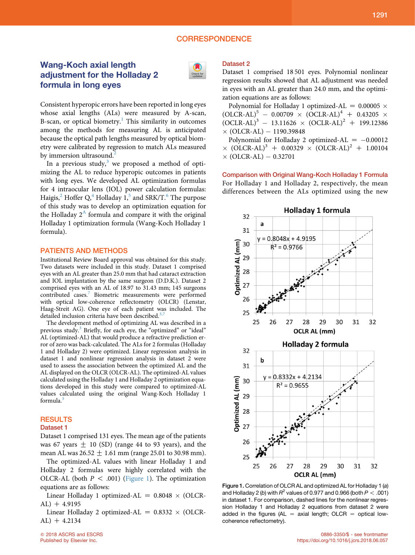## **CORRESPONDENCE**

# Wang-Koch axial length adjustment for the Holladay 2 formula in long eyes



Consistent hyperopic errors have been reported in long eyes whose axial lengths (ALs) were measured by A-scan, B-scan, or optical biometry. $<sup>1</sup>$  $<sup>1</sup>$  $<sup>1</sup>$  This similarity in outcomes</sup> among the methods for measuring AL is anticipated because the optical path lengths measured by optical biometry were calibrated by regression to match ALs measured by immersion ultrasound. $^{2}$  $^{2}$  $^{2}$ 

In a previous study, $3$  we proposed a method of optimizing the AL to reduce hyperopic outcomes in patients with long eyes. We developed AL optimization formulas for 4 intraocular lens (IOL) power calculation formulas: Haigis,<sup>[2](#page-1-0)</sup> Hoffer  $Q$ ,<sup>[4](#page-1-0)</sup> Holladay 1,<sup>[5](#page-1-0)</sup> and SRK/T.<sup>[6](#page-1-0)</sup> The purpose of this study was to develop an optimization equation for the Holladay  $2^A$  $2^A$  formula and compare it with the original Holladay 1 optimization formula (Wang-Koch Holladay 1 formula).

### PATIENTS AND METHODS

Institutional Review Board approval was obtained for this study. Two datasets were included in this study. Dataset 1 comprised eyes with an AL greater than 25.0 mm that had cataract extraction and IOL implantation by the same surgeon (D.D.K.). Dataset 2 comprised eyes with an AL of 18.97 to 31.43 mm; 145 surgeons contributed cases.<sup>[7](#page-1-0)</sup> Biometric measurements were performed with optical low-coherence reflectometry (OLCR) (Lenstar, Haag-Streit AG). One eye of each patient was included. The detailed inclusion criteria have been described.<sup>[3,7](#page-1-0)</sup>

The development method of optimizing AL was described in a previous study.<sup>[3](#page-1-0)</sup> Briefly, for each eye, the "optimized" or "ideal" AL (optimized-AL) that would produce a refractive prediction error of zero was back-calculated. The ALs for 2 formulas (Holladay 1 and Holladay 2) were optimized. Linear regression analysis in dataset 1 and nonlinear regression analysis in dataset 2 were used to assess the association between the optimized AL and the AL displayed on the OLCR (OLCR-AL). The optimized-AL values calculated using the Holladay 1 and Holladay 2 optimization equations developed in this study were compared to optimized-AL values calculated using the original Wang-Koch Holladay 1 formula.

### **RESULTS**

#### Dataset 1

Dataset 1 comprised 131 eyes. The mean age of the patients was 67 years  $\pm$  10 (SD) (range 44 to 93 years), and the mean AL was  $26.52 \pm 1.61$  mm (range 25.01 to 30.98 mm).

The optimized-AL values with linear Holladay 1 and Holladay 2 formulas were highly correlated with the OLCR-AL (both  $P < .001$ ) (Figure 1). The optimization equations are as follows:

Linear Holladay 1 optimized-AL =  $0.8048 \times (OLCR AL$ ) + 4.9195

Linear Holladay 2 optimized-AL =  $0.8332 \times (OLCR AL$ ) + 4.2134

### Dataset 2

Dataset 1 comprised 18 501 eyes. Polynomial nonlinear regression results showed that AL adjustment was needed in eyes with an AL greater than 24.0 mm, and the optimization equations are as follows:

Polynomial for Holladay 1 optimized-AL =  $0.00005 \times$  $(OLCR-AL)^5 - 0.00709 \times (OCLR-AL)^4 + 0.43205 \times$  $(OCLR-AL)^3 - 13.11626 \times (OCLR-AL)^2 + 199.12386$  $\times$  (OLCR-AL)  $-$  1190.39848

Polynomial for Holladay 2 optimized-AL  $= -0.00012$  $\times$  (OLCR-AL)<sup>3</sup> + 0.00329  $\times$  (OLCR-AL)<sup>2</sup> + 1.00104  $\times$  (OLCR-AL)  $-$  0.32701

Comparison with Original Wang-Koch Holladay 1 Formula For Holladay 1 and Holladay 2, respectively, the mean differences between the ALs optimized using the new



Figure 1. Correlation of OLCR AL and optimized AL for Holladay 1 (a) and Holladay 2 (b) with  $R^2$  values of 0.977 and 0.966 (both  $P < .001$ ) in dataset 1. For comparison, dashed lines for the nonlinear regression Holladay 1 and Holladay 2 equations from dataset 2 were added in the figures (AL  $=$  axial length; OLCR  $=$  optical lowcoherence reflectometry).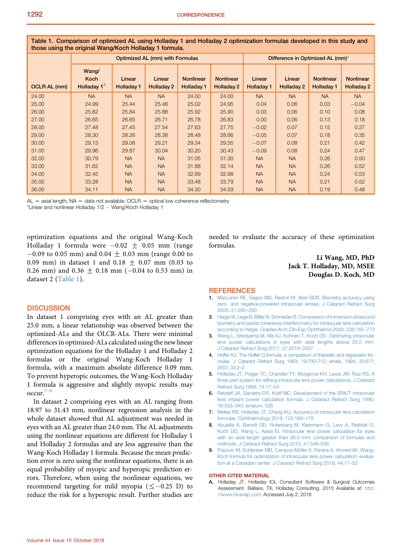<span id="page-1-0"></span>Table 1. Comparison of optimized AL using Holladay 1 and Holladay 2 optimization formulas developed in this study and those using the original Wang/Koch Holladay 1 formula.

|                     |                                                 | Difference in Optimized AL (mm)* |                      |                                |                                       |                             |                      |                                       |                                |
|---------------------|-------------------------------------------------|----------------------------------|----------------------|--------------------------------|---------------------------------------|-----------------------------|----------------------|---------------------------------------|--------------------------------|
| <b>OCLR AL (mm)</b> | Wang/<br><b>Koch</b><br>Holladay 1 <sup>3</sup> | Linear<br><b>Holladay 1</b>      | Linear<br>Holladay 2 | <b>Nonlinear</b><br>Holladay 1 | <b>Nonlinear</b><br><b>Holladay 2</b> | Linear<br><b>Holladay 1</b> | Linear<br>Holladay 2 | <b>Nonlinear</b><br><b>Holladay 1</b> | <b>Nonlinear</b><br>Holladay 2 |
| 24.00               | <b>NA</b>                                       | <b>NA</b>                        | <b>NA</b>            | 24.00                          | 24.00                                 | <b>NA</b>                   | <b>NA</b>            | <b>NA</b>                             | <b>NA</b>                      |
| 25.00               | 24.99                                           | 25.44                            | 25.46                | 25.02                          | 24.95                                 | 0.04                        | 0.06                 | 0.03                                  | $-0.04$                        |
| 26.00               | 25.82                                           | 25.84                            | 25.88                | 25.92                          | 25.90                                 | 0.03                        | 0.06                 | 0.10                                  | 0.08                           |
| 27.00               | 26.65                                           | 26.65                            | 26.71                | 26.78                          | 26.83                                 | 0.00                        | 0.06                 | 0.13                                  | 0.18                           |
| 28.00               | 27.48                                           | 27.45                            | 27.54                | 27.63                          | 27.75                                 | $-0.02$                     | 0.07                 | 0.15                                  | 0.27                           |
| 29.00               | 28.30                                           | 28.26                            | 28.38                | 28.48                          | 28.66                                 | $-0.05$                     | 0.07                 | 0.18                                  | 0.35                           |
| 30.00               | 29.13                                           | 29.06                            | 29.21                | 29.34                          | 29.55                                 | $-0.07$                     | 0.08                 | 0.21                                  | 0.42                           |
| 31.00               | 29.96                                           | 29.87                            | 30.04                | 30.20                          | 30.43                                 | $-0.09$                     | 0.08                 | 0.24                                  | 0.47                           |
| 32.00               | 30.79                                           | <b>NA</b>                        | <b>NA</b>            | 31.05                          | 31.30                                 | <b>NA</b>                   | <b>NA</b>            | 0.26                                  | 0.50                           |
| 33.00               | 31.62                                           | <b>NA</b>                        | <b>NA</b>            | 31.88                          | 32.14                                 | <b>NA</b>                   | <b>NA</b>            | 0.26                                  | 0.52                           |
| 34.00               | 32.45                                           | <b>NA</b>                        | <b>NA</b>            | 32.69                          | 32.98                                 | <b>NA</b>                   | <b>NA</b>            | 0.24                                  | 0.53                           |
| 35.00               | 33.28                                           | <b>NA</b>                        | <b>NA</b>            | 33.48                          | 33.79                                 | <b>NA</b>                   | <b>NA</b>            | 0.21                                  | 0.52                           |
| 36.00               | 34.11                                           | <b>NA</b>                        | <b>NA</b>            | 34.30                          | 34.59                                 | <b>NA</b>                   | <b>NA</b>            | 0.19                                  | 0.48                           |

 $AL =$  axial length; NA = data not available; OCLR = optical low coherence reflectometry

\*Linear and nonlinear Holladay 1/2 Wang/Koch Holladay 1

optimization equations and the original Wang-Koch Holladay 1 formula were  $-0.02 \pm 0.05$  mm (range  $-0.09$  to 0.05 mm) and 0.04  $\pm$  0.03 mm (range 0.00 to 0.09 mm) in dataset 1 and 0.18  $\pm$  0.07 mm (0.03 to 0.26 mm) and 0.36  $\pm$  0.18 mm (-0.04 to 0.53 mm) in dataset 2 (Table 1).

#### **DISCUSSION**

In dataset 1 comprising eyes with an AL greater than 25.0 mm, a linear relationship was observed between the optimized-ALs and the OLCR-ALs. There were minimal differences in optimized-ALs calculated using the new linear optimization equations for the Holladay 1 and Holladay 2 formulas or the original Wang-Koch Holladay 1 formula, with a maximum absolute difference 0.09 mm. To prevent hyperopic outcomes, the Wang-Koch Holladay 1 formula is aggressive and slightly myopic results may  $occur.<sup>7–9</sup>$ 

In dataset 2 comprising eyes with an AL ranging from 18.97 to 31.43 mm, nonlinear regression analysis in the whole dataset showed that AL adjustment was needed in eyes with an AL greater than 24.0 mm. The AL adjustments using the nonlinear equations are different for Holladay 1 and Holladay 2 formulas and are less aggressive than the Wang-Koch Holladay 1 formula. Because the mean prediction error is zero using the nonlinear equations, there is an equal probability of myopic and hyperopic prediction errors. Therefore, when using the nonlinear equations, we recommend targeting for mild myopia ( $\leq -0.25$  D) to reduce the risk for a hyperopic result. Further studies are needed to evaluate the accuracy of these optimization formulas.

### Li Wang, MD, PhD Jack T. Holladay, MD, MSEE Douglas D. Koch, MD

### **REFERENCES**

- 1. [MacLaren RE, Sagoo MS, Restori M, Allan BDS. Biometry accuracy using](http://refhub.elsevier.com/S0886-3350(18)30610-2/sref1) [zero- and negative-powered intraocular lenses. J Cataract Refract Surg](http://refhub.elsevier.com/S0886-3350(18)30610-2/sref1) [2005; 31:280](http://refhub.elsevier.com/S0886-3350(18)30610-2/sref1)–290
- 2. [Haigis W, Lege B, Miller N, Schneider B. Comparison of immersion ultrasound](http://refhub.elsevier.com/S0886-3350(18)30610-2/sref2) [biometry and partial coherence interferometry for intraocular lens calculation](http://refhub.elsevier.com/S0886-3350(18)30610-2/sref2) [according to Haigis. Graefes Arch Clin Exp Ophthalmol 2000; 238:765](http://refhub.elsevier.com/S0886-3350(18)30610-2/sref2)–773
- 3. [Wang L, Shirayama M, Ma XJ, Kohnen T, Koch DD. Optimizing intraocular](http://refhub.elsevier.com/S0886-3350(18)30610-2/sref3) [lens power calculations in eyes with axial lengths above 25.0 mm.](http://refhub.elsevier.com/S0886-3350(18)30610-2/sref3) [J Cataract Refract Surg 2011; 37:2018](http://refhub.elsevier.com/S0886-3350(18)30610-2/sref3)–2027
- 4. [Hoffer KJ. The Hoffer Q formula: a comparison of theoretic and regression for](http://refhub.elsevier.com/S0886-3350(18)30610-2/sref5)[mulas. J Cataract Refract Surg 1993; 19:700](http://refhub.elsevier.com/S0886-3350(18)30610-2/sref5)–712; errata, 1994; 20:677; [2007; 33:2](http://refhub.elsevier.com/S0886-3350(18)30610-2/sref5)–3
- 5. [Holladay JT, Prager TC, Chandler TY, Musgrove KH, Lewis JW, Ruiz RS. A](http://refhub.elsevier.com/S0886-3350(18)30610-2/sref6) [three-part system for refining intraocular lens power calculations. J Cataract](http://refhub.elsevier.com/S0886-3350(18)30610-2/sref6) [Refract Surg 1988; 14:17](http://refhub.elsevier.com/S0886-3350(18)30610-2/sref6)–24
- 6. [Retzlaff JA, Sanders DR, Kraff MC. Development of the SRK/T intraocular](http://refhub.elsevier.com/S0886-3350(18)30610-2/sref7) [lens implant power calculation formula. J Cataract Refract Surg 1990;](http://refhub.elsevier.com/S0886-3350(18)30610-2/sref7) 16:333–[340; erratum, 528](http://refhub.elsevier.com/S0886-3350(18)30610-2/sref7)
- 7. [Melles RB, Holladay JT, Chang WJ. Accuracy of intraocular lens calculation](http://refhub.elsevier.com/S0886-3350(18)30610-2/sref8) [formulas. Ophthalmology 2018; 125:169](http://refhub.elsevier.com/S0886-3350(18)30610-2/sref8)–178
- 8. [Abulafia A, Barrett GD, Rotenberg M, Kleinmann G, Levy A, Reitblat O,](http://refhub.elsevier.com/S0886-3350(18)30610-2/sref9) [Koch DD, Wang L, Assia EI. Intraocular lens power calculation for eyes](http://refhub.elsevier.com/S0886-3350(18)30610-2/sref9) [with an axial length greater than 26.0 mm: comparison of formulas and](http://refhub.elsevier.com/S0886-3350(18)30610-2/sref9) [methods. J Cataract Refract Surg 2015; 41:548](http://refhub.elsevier.com/S0886-3350(18)30610-2/sref9)–556
- 9. Popovic M, Schlenker MB, Campos-Möller X, Pereira A, Ahmed IIK. Wang-[Koch formula for optimization of intraocular lens power calculation: evalua](http://refhub.elsevier.com/S0886-3350(18)30610-2/sref10)[tion at a Canadian center. J Cataract Refract Surg 2018; 44:17](http://refhub.elsevier.com/S0886-3350(18)30610-2/sref10)–22

#### OTHER CITED MATERIAL

A. Holladay JT. Holladay IOL Consultant Software & Surgical Outcomes Assessment. Bellaire, TX, Holladay Consulting, 2015 Available at: [http:](http://www.hicsoap.com) [//www.hicsoap.com.](http://www.hicsoap.com) Accessed July 2, 2018